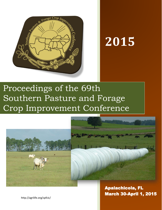

# **2015**

## Proceedings of the 69th Southern Pasture and Forage Crop Improvement Conference



Apalachicola, FL March 30-April 1, 2015

http://agrilife.org/spfcic/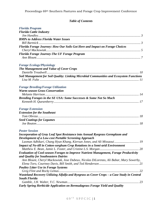## *Table of Contents*

| <b>Florida Program</b>                                                                     |    |
|--------------------------------------------------------------------------------------------|----|
| <b>Florida Cattle Industry</b>                                                             |    |
|                                                                                            |    |
| <b>BMPs to Address Florida Water Issues</b>                                                |    |
|                                                                                            |    |
| Florida Forage Journey: How Our Soils Got Here and Impact on Forage Choices                |    |
|                                                                                            |    |
| <b>Florida Forage Journey-The UF Forage Program</b>                                        |    |
| <b>Forage Ecology/Physiology</b>                                                           |    |
| The Management and Value of Cover Crops                                                    |    |
| Soil Management for Soil Quality: Linking Microbial Communities and Ecosystem Functions    |    |
|                                                                                            |    |
| <b>Forage Breeding/Forage Utilization</b><br><b>Warm-season Grass Conservation</b>         |    |
|                                                                                            |    |
| Breeding Forages in the SE USA: Some Successes & Some Not So Much                          |    |
|                                                                                            |    |
| <b>Forage Extension</b>                                                                    |    |
| <b>Extension for the Southeast</b>                                                         |    |
|                                                                                            |    |
| <b>Seed Coatings for Legumes</b>                                                           |    |
|                                                                                            |    |
| <b>Poster Session</b>                                                                      |    |
| Incorporation of Gray Leaf Spot Resistance into Annual Ryegrass Germplasm and              |    |
| <b>Development of a Low-cost Portable Screening Approach</b>                               |    |
| Laxman Adhikari, Chang Hyun Khang, Kiersun Jones, and Ali Missaoui 19                      |    |
| <b>Impact of No-till in Cotton-sorghum Crop Rotations in a Semi-arid Environment</b>       |    |
| Evaluation of Cool-season Forages to Improve Nutrient Management, Forage Productivity      |    |
| and Quality for Southeastern Dairies                                                       |    |
| Ann Blount, Cheryl Mackowiak, Jose Dubeux, Nicolas DiLorenzo, Ali Babar, Mary Sowerby,     |    |
|                                                                                            |    |
| <b>Poultry Litter Use in Forage Systems</b>                                                |    |
| 22                                                                                         |    |
| Wasteland Recovery Utilizing Alfalfa and Ryegrass as Cover Crops - a Case Study in Central |    |
| <b>South Florida</b>                                                                       | 23 |
|                                                                                            |    |
| Early Spring Herbicide Application on Bermudagrass Forage Yield and Quality                |    |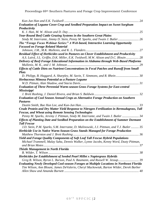| Evaluation of Legume Cover Crop and Seedbed Preparation Impact on Sweet Sorghum             |
|---------------------------------------------------------------------------------------------|
| Productivity                                                                                |
| 25                                                                                          |
| Year-Round Beef Cattle Grazing Systems in the Southern Great Plains                         |
|                                                                                             |
| The "Forage Focus Webinar Series:" A Web-based, Interactive Learning Opportunity            |
| <b>Focused on Forage Related Material</b>                                                   |
|                                                                                             |
| Residual Effect of Herbicides used in Pastures on Clover Establishment and Productivity     |
| A.S. Laird, J.L. Griffin, D.K. Miller, E.K. Twidwell, M.W. Alison and D.C. Blouin  28       |
| Delivery of Beef-Forage Educational Information in Alabama through Web-Based Platforms      |
|                                                                                             |
| Effects of Cattle Diets on Nutrient Concentrations in Fecal Patches and Runoff from Small   |
| <b>Plots</b>                                                                                |
|                                                                                             |
| Herbaceous Mimosa Potential as a Pasture Legume                                             |
|                                                                                             |
| <b>Evaluation of Three Perennial Warm-season Grass Forage Systems for East-central</b>      |
| <b>Mississippi</b>                                                                          |
|                                                                                             |
| <b>Evaluation of Cool Season Annual Crops as Alternative Forage Production on Southern</b>  |
| <b>Pastures</b>                                                                             |
|                                                                                             |
| Crude Protein and Dry Matter Yield Response to Nitrogen Fertilization in Bermudagrass, Tall |
| <b>Fescue, and Wheat using Remote Sensing Technologies</b>                                  |
| Penny M. Sparks, Jeremy J. Pittman, Sindy M. Interrante, and Twain J. Butler  34            |
| Effects of Planting Date and Seedbed Preparation on the Establishment of Summer Dormant     |
| <b>Tall Fescue</b>                                                                          |
| J.D. Stein, P.M. Sparks, S.M. Interrante, D. Malinowski, J.J. Pittman, and T.J. Butler 35   |
| Herbicide Use in Native Warm-Season Grass Stands Managed for Forage Production              |
|                                                                                             |
| Yield and Forage Quality Components of Soft Leaf Tall Fescue Hybrid Populations             |
| Michael Trammell, Malay Saha, Dennis Walker, Lynne Jacobs, Kenny Word, Dusty Pittman,       |
|                                                                                             |
| <b>Thistle Management in North Florida</b>                                                  |
|                                                                                             |
| Herbicides for Establishment of Seeded Pearl Millet x Napiergrass Hybrids                   |
| Greg B. Wilson, Byron L. Burson, Paul A. Baumann, and Russell W. Jessup 39                  |
| Evaluating Newly Developed Cool-season Forages at Multiple Locations in Northeast Florida   |
| Tim Wilson, Ann Blount, James DeValerio, Cheryl Mackowiak, Barton Wilder, Derek Barber      |
|                                                                                             |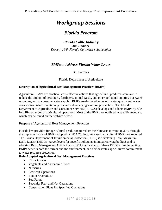## *Workgroup Sessions*

## *Florida Program*

<span id="page-3-1"></span><span id="page-3-0"></span>*Florida Cattle Industry Jim Handley Executive VP, Florida Cattlemen's Association*

## *BMPs to Address Florida Water Issues*

## Bill Bartnick

Florida Department of Agriculture

## <span id="page-3-3"></span><span id="page-3-2"></span>**Description of Agricultural Best Management Practices (BMPs)**

Agricultural BMPs are practical, cost-effective actions that agricultural producers can take to reduce the amount of pesticides, fertilizers, animal waste, and other pollutants entering our water resources, and to conserve water supply. BMPs are designed to benefit water quality and water conservation while maintaining or even enhancing agricultural production. The Florida Department of Agriculture and Consumer Services (FDACS) develops and adopts BMPs by rule for different types of agricultural operations. Most of the BMPs are outlined in specific manuals, which can be found on the website below.

#### **Purpose of Agricultural Best Management Practices**

Florida law provides for agricultural producers to reduce their impacts to water quality through the implementation of BMPs adopted by FDACS. In some cases, agricultural BMPs are required. The Florida Department of Environmental Protection (FDEP) is developing Total Maximum Daily Loads (TMDLs - target levels for specific pollutants in impaired waterbodies), and is adopting Basin Management Action Plans (BMAPs) for many of these TMDLs. Implementing BMPs benefits both the farmer and the environment, and demonstrates agriculture's commitment to water resource protection.

#### **Rule-Adopted Agricultural Best Management Practices**

- Citrus Groves
- Vegetable and Agronomic Crops
- Nurseries
- Cow/calf Operations
- Equine Operations
- Sod Farms
- Specialty Fruit and Nut Operations
- Conservation Plans for Specified Operations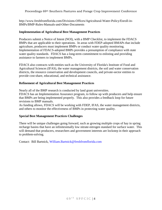Proceedings 69th Southern Pastures and Forage Crop Improvement Conference

[http://www.freshfromflorida.com/Divisions-Offices/Agricultural-Water-Policy/Enroll-in-](http://www.freshfromflorida.com/Divisions-Offices/Agricultural-Water-Policy/Enroll-in-BMPs/BMP-Rules-Manuals-and-Other-Documents)[BMPs/BMP-Rules-Manuals-and-Other-Documents](http://www.freshfromflorida.com/Divisions-Offices/Agricultural-Water-Policy/Enroll-in-BMPs/BMP-Rules-Manuals-and-Other-Documents)

## **Implementation of Agricultural Best Management Practices**

Producers submit a Notice of Intent (NOI), with a BMP Checklist, to implement the FDACS BMPs that are applicable to their operations. In areas with FDEP-adopted BMAPs that include agriculture, producers must implement BMPs or conduct water quality monitoring. Implementation of FDACS-adopted BMPs provides a presumption of compliance with state water quality standards. FDACS has a long-term commitment to enlisting and providing assistance to farmers to implement BMPs.

FDACS also contracts with entities such as the University of Florida's Institute of Food and Agricultural Sciences (IFAS), the water management districts, the soil and water conservation districts, the resource conservation and development councils, and private-sector entities to provide cost-share, educational, and technical assistance.

#### **Refinement of Agricultural Best Management Practices**

Nearly all of the BMP research is conducted by land grant universities.

FDACS has an Implementation Assurance program, to follow up with producers and help ensure that BMPs are being implemented properly. This also provides a feedback loop for future revisions to BMP manuals.

As funding allows, FDACS will be working with FDEP, IFAS, the water management districts, and others to monitor the effectiveness of BMPs in protecting water quality.

#### **Special Best Management Practices Challenges**

There will be unique challenges going forward, such as growing multiple crops of hay in spring recharge basins that have an infinitesimally low nitrate-nitrogen standard for surface water. This will demand that producers, researchers and government interests are lockstep in their approach to problem-solving.

Contact: Bill Bartnick, [William.Bartnick@freshfromflorida.com](mailto:William.Bartnick@freshfromflorida.com)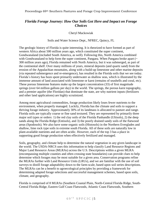## <span id="page-5-1"></span><span id="page-5-0"></span>*Florida Forage Journey: How Our Soils Got Here and Impact on Forage Choices*

Cheryl Mackowiak

#### Soils and Water Science Dept., NFREC, Quincy, FL

The geologic history of Florida is quite interesting. It is theorized to have formed as part of western Africa about 500 million years ago, which constituted the super continent, Gondwanaland (included South America, as well). Following this, North America combined with Gondwanaland to help form the super continent, Pangaea. When Pangaea broke apart  $(\sim$ 300 million years ago), Florida remained with North America, but it was submerged, as part of the continental shelf. Over many millions of years, mineral deposits (and quartz sand) from the erosion of the Appalachian mountains, along with a build-up limestone and other marine deposits (via repeated submergence and re-emergence), has resulted in the Florida soils that we see today. Florida's history has been spent primarily underwater as shallow seas, which is illustrated by the immense amount of land associated with limestone or karst (remains of seashells and coral, etc). These porous limestone features make up the largest concentration (33) of first magnitude springs (over 64 million gallons per day) in the world. The springs, the porous karst topography, and a premier aquifer (the Floridan) that dominate the state, are why nutrient inputs (fertilizers and other land applications) are highly scrutinized.

Among most agricultural commodities, forage production likely loses fewer nutrients to the environment, when properly managed. Luckily, Florida has the climate and soils to support a thriving forage industry. Approximately 30% of its landmass is allocated to pasture and range. Florida soils are typically coarse or fine sand textured. They are represented by primarily three major soil types or orders: 1) the red clay soils of the Florida Panhandle (Ultisols), 2) the deep sands along the Florida Ridge (Entisols), and 3) the poorly drained sandy soils of the flatwood areas (Spodosols). We also have some organic soils (Histosols) in the Northern Everglades and shallow, lime rock type soils in extreme south Florida. All of these soils are naturally low in plant-available nutrients and are often acidic. However, each of the top 3 has a place in supporting good forage production when effectively fertilized and managed.

Soils, geography, and climate help to determine the natural vegetation in any given landscape in the world. The USDA-NRCS uses this information to help classify Land Resource Regions and Major Land Resource Areas (MLRAs) across the U.S. Descriptions within a given MLRA (encompassing multiple counties and often crossing state boundaries) can provide clues to help determine which forages may be most suitable for a given area. Conservation programs refine the MLRAs further with Land Resource Units (LRUs), and we are familiar with the use of soil surveys to distill forage adaptability down to the farm-scale, based upon soil series descriptions. The MLRAs can be a benefit to agroecological principles by providing a framework for determining adapted forage selections and successful management schemes, based upon soils, climate, and geography.

Florida is comprised of 8 MLRAs (Southern Coastal Plain, North-Central Florida Ridge, South-Central Florida Ridge, Eastern Gulf Coast Flatwoods, Atlantic Coast Flatwoods, Southern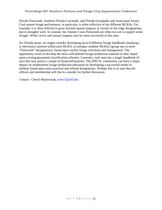## Proceedings 69th Southern Pastures and Forage Crop Improvement Conference

Florida Flatwoods, Southern Florida Lowlands, and Florida Everglades and Associated Areas). Cool-season forage performance, in particular, is often reflective of the different MLRAs. For example, it is often difficult to grow dryland annual ryegrass or clovers in the ridge designations, due to droughty soils. In contrast, the Atlantic Coast Flatwoods are often too wet to support some forages. White clover and annual ryegrass may be more successful in this area.

For Florida alone, we might consider developing up to 8 different forage handbooks (hardcopy or electronic) tailored within each MLRA, or perhaps combine MLRAs (group one or more "Flatwoods" designations), based upon similar forage selections and management. The opportunity exists to develop the most well-defined forage production manuals to date, based upon existing geospatial classification schemes. Currently, each state has a single handbook (if any) that may utilize a couple of broad delineations. The SPFCIC community can have a major impact on southeastern forage production education by developing a successful model or method, based upon more practical and refined designations. Perhaps this is an area that the officers and membership will like to consider for further discussion.

Contact: Cheryl Mackowiak, [echo13@ufl.edu](mailto:echo13@ufl.edu)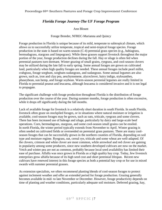## *Florida Forage Journey-The UF Forage Program*

Ann Blount

#### Forage Breeder, NFREC-Marianna and Quincy

<span id="page-7-1"></span><span id="page-7-0"></span>Forage production in Florida is unique because of its mild, temperate to subtropical climate, which allows us to successfully utilize temperate, tropical and semi-tropical forage species. Forage production in the state is based on warm-season (C-4) perennial grass species (e.g., bahiagrass, bermudagrass, stargrass and limpograss). While these grasses support livestock throughout the major portion of the year, forage production declines during the fall. Hay or silage is often fed when perennial pastures turn dormant. Winter grazing of small grains, ryegrass, and cool-season clovers may be utilized during the late fall to early spring. Some annual forages are grown on cultivated land, particularly when high quality forages are needed. These annual forages include pearl millet, crabgrass, forage sorghum, sorghum-sudangrass, and sudangrass. Some annual legumes are also grown, such as, iron and clay pea, aeschynomene, alyceclover, hairy indigo, stylosanthes, phaseybean, sun hemp, and forage soybean. Warm-season perennial legumes are really limited in Florida to perennial peanut and leucaena, although leucaena is considered invasive and it is not legal to propagate.

The significant challenge with forage production throughout Florida is the distribution of forage production over the course of the year. During summer months, forage production is often excessive, while it drops off significantly during the fall months.

Lack of available forage for livestock is a relatively short duration in south Florida. In south Florida, livestock often graze on stockpiled forages, or in situations where natural moisture or irrigation is available, cool-season forages may be grown, such as oats, triticale, ryegrass and some clovers. There has been increased use of baleage and silage, particularly by dairy and large-scale beef operations. Corn, bermudagrass, stargrass, and some cool-season small grains can be ensiled. In north Florida, the winter period typically extends from November to April. Winter grazing is often seeded on cultivated fields or overseeded on perennial grass pastures. There are many coolseason forages that can be successfully grown in the northern counties of Florida, depending on soil type and moisture regime. Ryegrass, oat, cereal rye, triticale and some wheat are well-adapted. Of the clovers, crimson and white clover are most common, while arrowleaf and red clover are gaining in popularity among some producers, since new southern developed cultivars are now on the market. Vetch and winter pea are not as common, probably because local seed availability has limited their ease of purchase. Alfalfa was once grown in Florida as a high quality hay crop. Today, few livestock enterprises grow alfalfa because of its high seed cost and short perennial lifespan. Recent new cultivars have renewed interest in this forage species as both a potential hay crop or for use in mixed swards with summer perennial grasses.

As extension specialists, we often recommend planting blends of cool-season forages to protect against inclement weather and offer an extended period for forage production. Grazing generally becomes available in mid- to late November or December. However, forage productivity depends on time of planting and weather conditions, particularly adequate soil moisture. Deferred grazing, hay,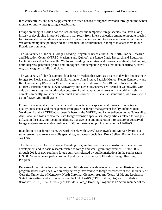feed concentrates, and other supplements are often needed to support livestock throughout the winter months or until winter grazing is established.

Forage breeding in Florida has focused on tropical and temperate forage species. We have a long history of developing improved cultivars that result from intense selection among temperate species for disease and nematode resistances and tropical species for cold tolerance and winter hardiness. We often manipulate photoperiod and vernalization requirements in forages to adapt them to our Florida environment.

The University of Florida's Forage Breeding Program is based at both, the North Florida Research and Education Center (NFREC-Marianna and Quincy), the Range Cattle Research and Education Center (Ona) and at Gainesville. We focus breeding on sub-tropical forages, specifically bahiagrass, bermudagrass, perennial peanut and limpograss, and temperate species that include triticale, cereal rye, oat, ryegrass, alfalfa and clover.

The University of Florida supports four forage breeders that work as a team to develop and test new forages for Florida and areas of similar climate. Ann Blount, Patricio Munoz, Kevin Kenworthy and Ken Quesenberry (Professor Emeritus) comprise the work group. Ann Blount is located at the NFREC. Patricio Munoz, Kevin Kenworthy and Ken Quesenberry are located at Gainesville. Our cultivars are also grown world-wide because of their adaptation to areas of the world with similar climates. Recently, we added a new small grains breeder, Ali Babar, at Gainesville, who works with us on forage-type small grains.

Forage management specialists in the state evaluate new, experimental forages for nutritional quality, persistence and management strategies. Our forage management faculty includes Joao Vendramini at the RCREC-Ona, Jose Dubeux at the NFREC, and Lynn Sollenberger at Gainesville. Ann, Joao, and Jose are also the state forage extension specialists. Many articles related to forages utilized in the state, our recommendations, management and integration into pasture or conserved forage systems are available on-line at EDIS, our extension publication site for UF-IFAS.

In addition to our forage team, we work closely with Cheryl Mackowiak and Maria Silveira, our state research and extension soils specialists, and weed specialists, Brent Sellers, Ramon Leon and Jay Ferrell.

The University of Florida's Forage Breeding Program has been very successful in forage cultivar development and in basic research related to forage and small grain improvement. Since 2005 through 2015, of new southern forage cultivars released by public institutions in the southeastern U.S., 80 % were developed or co-developed by the University of Florida's Forage Breeding Program.

Because of our unique location in northern Florida we have developed a strong multi-state forage program across state lines. We are very actively involved with forage researchers at the University of Georgia, University of Kentucky, North Carolina, Clemson, Auburn, Texas A&M, and Louisiana State Universities, and with scientists at the USDA-ARS (CPES, Tifton, GA) and USDA-NRCS (Brooksville, FL). The University of Florida's Forage Breeding Program is an active member of the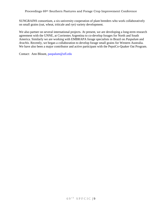SUNGRAINS consortium, a six-university cooperation of plant breeders who work collaboratively on small grains (oat, wheat, triticale and rye) variety development.

We also partner on several international projects. At present, we are developing a long-term research agreement with the UNNE, at Corrientes Argentina to co-develop forages for North and South America. Similarly we are working with EMBRAPA forage specialists in Brazil on *Paspalum* and *Arachis*. Recently, we began a collaboration to develop forage small grains for Western Australia. We have also been a major contributor and active participant with the PepsiCo-Quaker Oat Program.

Contact: Ann Blount, [paspalum@ufl.edu](mailto:paspalum@ufl.edu)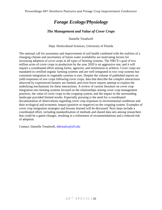## *Forage Ecology/Physiology*

## *The Management and Value of Cover Crops*

Danielle Treadwell

Dept. Horticultural Sciences, University of Florida

<span id="page-10-1"></span><span id="page-10-0"></span>The national call for awareness and improvement of soil health combined with the realities of a changing climate and uncertainty of future water availability are motivating factors for increasing adoption of cover crops in all types of farming systems. The NRCS's goal of two million acres of cover crops in production by the year 2020 is an aggressive one, and it will require a coordinated effort among farms, agencies, and institutions to achieve. Cover crops are mandated in certified organic farming systems and are well-integrated in row crop systems but consistent integration in vegetable systems is rare. Despite the volume of published reports on yield responses of row crops following cover crops, data that describe the complex interactions observed by experienced farmers are limited, and even fewer reports attempt to explain the underlying mechanisms for these interactions. A review of current literature on cover crop integration into farming systems focused on the relationships among cover crop management practices, the value of cover crops to the cropping system, and the impact to the surrounding landscape provided limited results. Especially pressing is the need for a coordinated documentation of observations regarding cover crop responses to environmental conditions and their ecological and economic impact (positive or negative) on the cropping system. Examples of cover crop integration strategies and lessons learned will be discussed. Next steps include a coordinated effort, including standardization of methods and shared data sets among researchers that could be a game-changer, resulting in a refinement of recommendations and a reduced risk of adoption.

Contact: Danielle Treadwell, [ddtreadw@ufl.edu](mailto:ddtreadw@ufl.edu)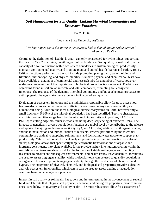## <span id="page-11-1"></span><span id="page-11-0"></span>*Soil Management for Soil Quality: Linking Microbial Communities and Ecosystem Functions*

#### Lisa M. Fultz

#### Louisiana State University AgCenter

*"We know more about the movement of celestial bodies than about the soil underfoot."* --Leonardo DaVinci

Central to the definition of "health" is that it can only be assessed for living things, supporting the idea that "soil" is a living, breathing part of the landscape. Soil quality, or soil health, is the capacity of a soil to function within ecosystem boundaries to sustain biological productivity, maintain environmental quality, and promote plant and animal health (Doran and Parkin, 1994). Critical functions performed by the soil include promoting plant growth, water holding and filtration, nutrient cycling, and physical stability. Standard physical and chemical soil tests have been available at a number of commercial and research labs for a number of years, however widespread recognition of the importance of biological properties is more recent. The billions of organisms found in soil are an intricate and vital component, promoting soil ecosystem functions. The response of the dynamic microbial community and biogeochemical processes to anthropogenic changes make them excellent indicators of soil quality.

Evaluation of ecosystem functions and the individuals responsible allow for us to assess how land use decisions and environmental shifts influence overall ecosystem sustainability and human well-being. Soils are the most biological diverse ecosystems on Earth, however only a small fraction (<5-10%) of the microbial population has been identified. Tools to characterize microbial communities range from biochemical techniques (fatty acid profiles, FAMEs or PLFAs) to cutting edge molecular methods including deep-sequencing of extracted DNA. The impacts of genetically diverse populations function at a global level by contributing to the release and uptake of major greenhouse gases  $(CO_2, N_2O,$  and  $CH_4$ ), degradation of soil organic matter, and the mineralization and immobilization of nutrients. Process performed by the microbial community are critical to supplying soil nutrients and facilitating water uptake to support plant productivity. While traditional chemical analyses provides important information on nutrient status; biological assays that specifically target enzymatic transformations of organic and inorganic constituents into plant available forms provide insight into nutrient cycling within the soil. Microorganisms are also critical for the formation of stable soil aggregates promoting resistance to erosion and subsequent environmental and health issues. Physiochemical techniques are used to assess aggregate stability, while molecular tools can be used to quantify populations of organisms known to promote aggregate stability through the production of chemicals and hyphae. The integration of physical, chemical, and biological soil properties provides a detailed analysis ecosystem functionality, which can in turn be used to assess decline or aggradation overtime based on management practices.

Interest in soil quality or soil health has grown and in turn resulted in the advancement of several field and lab tests that integrate soil physical, chemical, and biological properties (most common ones listed below) to quantify soil quality/health. The most robust tests allow for assessment of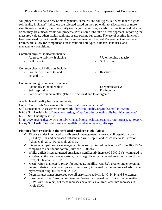### Proceedings 69th Southern Pastures and Forage Crop Improvement Conference

soil properties over a variety of managements, climates, and soil types. But what makes a good soil quality indicator? Indicators are selected based on their potential to affected one or more simultaneous function, their sensitivity to changes in land use, variability over time, and whether or not they are a measureable soil property. While some labs take a direct approach, reporting the measured values, others assign rankings or use scoring functions. The use of scoring functions, like those used by the Cornell Soil Health Assessment and the Soil Management Assessment Framework, allow for comparison across multiple soil types, climates, land uses, and management conditions.

Common physical indicators include:

- Aggregate stability & slaking Water holding capacity
- Bulk density  **Soil texture**

Common chemical indicators include:

- Soil nutrient status (N and P) Reactive C
- pH and EC

Common biological indicators include:

- Potentially mineralizable N Enzymatic assays
- Soil respiration Earthworms
	-
- Particulate organic matter (labile C fractions) and total organic C

Available soil quality/health assessments:

Cornell Soil Heath Assessment - <http://soilhealth.cals.cornell.edu/> Soil Management Assessment Framework - [http://soilquality.org/tools/smaf\\_intro.html](http://soilquality.org/tools/smaf_intro.html) NRCS Soil Health - <http://www.nrcs.usda.gov/wps/portal/nrcs/main/soils/health/assessment/> NRCS Soil Quality Test Kit -

[http://www.nrcs.usda.gov/wps/portal/nrcs/detail/soils/health/assessment/?cid=nrcs142p2\\_053873](http://www.nrcs.usda.gov/wps/portal/nrcs/detail/soils/health/assessment/?cid=nrcs142p2_053873) Haney Soil Health Test - [http://www.wardlab.com/haney/haney\\_info.aspx](http://www.wardlab.com/haney/haney_info.aspx)

## **Findings from research in the semi-arid Southern High Plains:**

- $\checkmark$  13 years under integrated crop-livestock management increased soil organic carbon (SOC) by 31% and decreased nutrient and water inputs and losses due to soil erosion (Allen et al., 2012; Fultz et al., 2013a).
- $\checkmark$  Integrated crop-livestock management increased protected pools of SOC from 100-150% compared to continuous cotton (Fultz et al., 2013b)
- $\checkmark$  While, deficit irrigated grazed grasslands significantly increased SOC (3x's) compared to a dryland cotton and forage system, it also significantly increased greenhouse gas fluxes (2x's) (Fultz et al., 2013b).
- $\checkmark$  Mean weight diameter (a proxy for aggregate stability) was 3x's greater under perennial grasses relative to annual crops and significantly increased by the presence of arbuscular mycorrhizal fungi (Fultz et al., 2013b).
- $\checkmark$  Perennial grasslands increased overall enzymatic activity for C, N, P, and S enzymes.
- $\checkmark$  Enrollment in the Conservation Reserve Program increased particulate organic matter (POM) over 26 years, but these increases have not as yet translated into increases in whole SOC.
- 
- 
-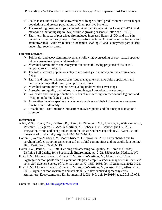- $\checkmark$  Fields taken out of CRP and converted back to agricultural production had lower fungal populations and greater populations of Gram positive bacteria.
- $\checkmark$  The use of high residue crops increased microbial biomass within 1 year (16-17%) and metabolic functioning (up to 75%) within 2 growing seasons (Cotton et al. 2013).
- $\checkmark$  Short-term impacts of prescribed fire included increased fluxes of CO<sub>2</sub> and shifts in microbial communities (Fungi  $\rightarrow$  Gram positive bacteria  $\rightarrow$  Gram negative bacteria and actinomycetes). Wildfires reduced biochemical cycling (C and N enzymes) particularly under high severity burns.

## **Current research:**

- $\triangleright$  Soil health and ecosystem improvements following overseeding of cool-season species into a warm-season perennial grassland
- $\triangleright$  Microbial communities and ecosystem functions following projected shifts in soil temperature and moisture
- $\triangleright$  The role microbial populations play in increased yield in newly cultivated sugarcane fields
- $\triangleright$  Short- and long-term impacts of residue management on microbial populations and nutrient cycling (tilled, no-till, and prescribed fire)
- Microbial communities and nutrient cycling under winter cover crops
- $\triangleright$  Assessing soil quality and microbial assemblages in relation to cover crops
- $\triangleright$  Soil health and forage production benefits of interseeding summer-annual legumes and irrigation in bermudagrass pastures
- $\triangleright$  Alternative invasive species management practices and their influence on ecosystem function and soil quality
- $\triangleright$  Rhizobiome root-microbe interactions in sweet potato and their response to abiotic stressors

## **References:**

- Allen, V.G., Brown, C.P., Kellison, R., Green, P., Zilverberg, C.J., Johnson, P., Wein-heimer, J., Wheeler, T., Segarra, E., Acosta-Martínez, V., Zobeck, T.M., Conkwright,J.C., 2012. Integrating cotton and beef production in the Texas Southern HighPlains. I. Water use and measures of productivity. Agron. J. 104, 1625–1642.
- Cotton, J., Acosta-Martinez, V., Moore-Kucera, J., Burow, G., 2013. Early changes due to sorghum biofuel cropping systems in soil microbial communities and metabolic functioning. Biol. Fertil. Soils 89, 403-413.
- Doran, J.W., Parkin, T.B., 1994. Defining and assessing soil quality. *In* Doran et al. (eds) Defining Soil Quality for a Sustainable Environment, pp. 3-22, SSSA/ASA, Madison, WI.
- Fultz, L.M., Moore-Kucera, J., Zobeck, T.M., Acosta-Martinez, V., Allen, V.G., 2013a. Aggregate carbon pools after 13-years of integrated crop-livestock management in semi-arid soils. Soil Science Society of America Journal 77, 1659-1666. doi: 10.2136/sssaj2012.0423.
- Fultz, L.M., Moore-Kucera, J., Zobeck, T.M., Acosta-Martinez, V., Wester, D.B., Allen, V.G., 2013. Organic carbon dynamics and soil stability in five semiarid agroecosystems. Agriculture, Ecosystems, and Environment 181, 231-240. doi: 10.1016/j.agee.2013.10.004.

Contact: Liza Fultz, [LFultz@agcenter.lsu.edu](mailto:LFultz@agcenter.lsu.edu)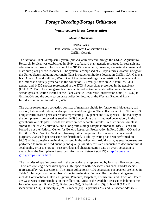## <span id="page-14-0"></span>*Forage Breeding/Forage Utilization*

## *Warm-season Grass Conservation*

#### *Melanie Harrison*

USDA, ARS Plant Genetic Resources Conservation Unit Griffin, Georgia

<span id="page-14-1"></span>The National Plant Germplasm System (NPGS), administered through the USDA, Agricultural Research Service, was established in 1949 to safeguard plant genetic resources for research and educational purposes. The mission of the NPGS is to acquire, preserve, evaluate, document and distribute plant genetic resources. The system is comprised of 20 repositories located throughout the United States including four main Plant Introduction Stations located in Griffin, GA; Geneva, NY; Ames, IA; and Pullman, WA. One of the distinguishing characteristics of the genebank is the immense diversity preserved in the collection. Currently, there are 217 families, 2384 genera, and 14932 species represented in the 570349 accessions preserved in the genebank (USDA, 2015). The grass germplasm is maintained as two separate collections - the warmseason grass collection located at the Plant Genetic Resources Conservation Unit (PGRCU) in Griffin, GA and the cool-season grass collection located at the Western Regional Plant Introduction Station in Pullman, WA.

The warm-season grass collection consists of material suitable for forage, turf, bioenergy, soil erosion, habitat restoration, landscape ornamental and grain. The collection at PGRCU has 7524 unique warm-season grass accessions representing 106 genera and 495 species. The majority of the germplasm is preserved as seed while 396 accessions are maintained vegetatively in the greenhouse or field plots. Seeds are stored in two separate samples. A distribution sample is stored at  $4^{\circ}$ C at 25% humidity, and a long term storage sample is stored at  $-18^{\circ}$ C. Seeds are backed up at the National Center for Genetic Resources Preservation in Fort Collins, CO and at the Global Seed Vault in Svalbard, Norway. When requested for research or educational purposes, 200 seeds per accession are distributed. Viability testing has been performed on 92.3% of the accessions maintained as seed in the collection. Additionally, as seed increases are performed to maintain seed quantity and quality, viability tests are conducted to document initial seed quality prior to storage. Passport data and characterization data on every accession is available at the Germplasm Resources Information Network (GRIN) - [http://www.ars](http://www.ars-grin.gov/npgs/index.html)[grin.gov/npgs/index.html.](http://www.ars-grin.gov/npgs/index.html)

The majority of species preserved in the collection are represented by less than five accessions. There are 202 single accession species, 168 species with 2-5 accessions each, and 49 species represented by >20 accessions. The larger collections (>100 accessions per species) are listed in Table 1. In regards to the number of species maintained in the collection, the main genera include Bothriochloa, Chloris, Digitaria, Panicum, Paspalum, Pennisetum, and Urochloa. There are 23 species of Bothriochloa in the collection. Most of the available accessions belong to the following species: B. alta (10), B. decipers (16), B. barbinodis (85), B. bladhii (132), B. ischaemum (234), B. insculpta (22), B. macra (10), B. pertusa (28), and B. sacchariodes (55).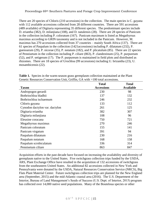Proceedings 69th Southern Pastures and Forage Crop Improvement Conference

There are 20 species of Chloris (210 accessions) in the collection. The main species is C. gayana with 112 available accessions collected from 28 different countries. There are 591 accessions (489 available) of Digitaria representing 35 different species. The predominant species include D. eriantha (382), D. milanjiana (108), and D. natalensis (28). There are 28 species of Panicum in the collection including P. coloratum (167). Panicum maximum is listed as Megathyrsus maximus according to GRIN taxonomy and is not included in the Panicum. However, M. maximus has 270 accessions collected from 37 countries – mainly South Africa (137). There are 61 species of Paspalum in the collection (1421accessions) including P. dilatatum (232), P. guenoarum (29), P. nicorae (35), P. notatum (182), and P. plicatulum (85). There are 22 species of Pennisetum in the collection including P. ciliare (863), P. clandestinum (25), P. purpureum (52), and P. setigerum (17). The P. purpureum is maintained in field plots and distributed as rhizomes. There are 18 species of Urochloa (99 accessions) including U. brizantha (23), U. mosambicensis (22).

|                                | <b>Total</b>      | <b>Total</b>     |
|--------------------------------|-------------------|------------------|
| <b>Taxon</b>                   | <b>Accessions</b> | <b>Available</b> |
| Andropogon gerardi             | 230               | 98               |
| Bothriochloa bladhii           | 137               | 132              |
| Bothriochloa ischaemum         | 246               | 232              |
| Chloris gayana                 | 133               | 112              |
| Cynodon dactylon var. dactylon | 261               | 125              |
| Digitaria eriantha             | 382               | 307              |
| Digitaria milanjiana           | 108               | 96               |
| Eleusine coracana              | 750               | 721              |
| Megathyrsus maximus            | 270               | 246              |
| Panicum coloratum              | 155               | 141              |
| Panicum virgatum               | 391               | 94               |
| Paspalum dilatatum             | 230               | 216              |
| Paspalum notatum               | 168               | 158              |
| Paspalum scrobiculatum         | 336               | 314              |
| Pennisetum ciliare             | 863               | 847              |

Table 1. Species in the warm-season grass germplasm collection maintained at the Plant Genetic Resources Conservation Unit, Griffin, GA with >100 total accessions.

Acquisition efforts in the past decade have focused on increasing the availability and diversity of germplasm native to the United States. Five switchgrass collection trips funded by the USDA, ARS, Plant Exchange Office have resulted in the acquisition of 132 accessions of switchgrass from the southeastern United States. An additional 82 accessions collected in New York and Pennsylvania were donated by the USDA, Natural Resources Conservation Service (NRCS), Big Flats Plant Material Center. Future switchgrass collection trips are planned for the New England area (September, 2015) and the mid-Atlantic coastal area (2016). The U.S. Department of the Interior, Bureau of Land Management's Seeds of Success (U.S. Dept. of Interior, 2015) program has collected over 14,000 native seed populations. Many of the Bouteloua species or other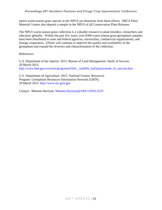Proceedings 69th Southern Pastures and Forage Crop Improvement Conference

native warm-season grass species in the NPGS are donations from these efforts. NRCS Plant Material Centers also deposit a sample in the NPGS of all Conservation Plant Releases.

The NPGS warm-season grass collection is a valuable resource to plant breeders, researchers and educators globally. Within the past five years, over 8300 warm-season grass germplasm samples have been distributed to state and federal agencies, universities, commercial organizations, and foreign cooperators. Efforts will continue to improve the quality and availability of the germplasm and expand the diversity and characterization of the collection.

References:

U.S. Department of the Interior. 2015. Bureau of Land Management. Seeds of Success. 20 March 2015. [http://www.blm.gov/wo/st/en/prog/more/fish\\_\\_wildlife\\_and/plants/seeds\\_of\\_success.htm](http://www.blm.gov/wo/st/en/prog/more/fish__wildlife_and/plants/seeds_of_success.htm)

U.S. Department of Agriculture. 2015. National Genetic Resources Program. Germplasm Resources Information Network (GRIN). 20 March 2015. [http://www.ars-grin.gov](http://www.ars-grin.gov/)

Contact: Melanie Harrison, [Melanie.Harrison@ARS.USDA.GOV](mailto:Melanie.Harrison@ARS.USDA.GOV)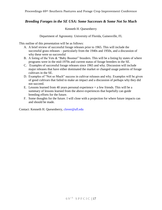## <span id="page-17-1"></span><span id="page-17-0"></span>*Breeding Forages in the SE USA: Some Successes & Some Not So Much*

#### Kenneth H. Quesenberry

Department of Agronomy. University of Florida, Gainesville, FL

This outline of this presentation will be as follows:

- A. A brief review of successful forage releases prior to 1965. This will include the successful grass releases – particularly from the 1940s and 1950s, and a discussion of why these were so successful
- B. A listing of the Vets  $&$  "Baby Boomer" breeders. This will be a listing by states of where programs were in the mid-1970s and current status of forage breeders in the SE.
- C. Examples of successful forage releases since 1965 and why. Discussion will include major releases that have either dominated the market or changed usage patterns of forage cultivars in the SE.
- D. Examples of "Not so Much" success in cultivar releases and why. Examples will be given of good cultivars that failed to make an impact and a discussion of perhaps why they did not succeed.
- E. Lessons learned from 40 years personal experience + a few friends. This will be a summary of lessons learned from the above experiences that hopefully can guide breeding efforts for the future.
- F. Some thoughts for the future. I will close with a projection for where future impacts can and should be made.

Contact: Kenneth H. Quesenberry, [clover@ufl.edu](mailto:clover@ufl.edu)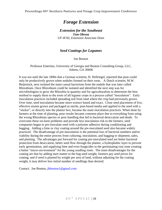<span id="page-18-1"></span><span id="page-18-0"></span>Proceedings 69th Southern Pastures and Forage Crop Improvement Conference

## *Forage Extension*

*Extension for the Southeast Tom Obreza UF-IFAS, Extension Associate Dean*

## *Seed Coatings for Legumes*

Joe Bouton

<span id="page-18-3"></span><span id="page-18-2"></span>Professor Emeritus, University of Georgia and Bouton Consulting Group, LLC, Athens, GA 30606

It was not until the late 1800s that a German scientist, H. Hellriegel, reported that peas could only be productively grown when nodules formed on their roots. A Dutch scientist, M.W. Beijerinck, next isolated the main causal bacterium from the nodule that was later called Rhizobium. Once Rhizobium could be isolated and identified the next step was for microbiologists to grow the Rhizobia in quantity and for agriculturalists to determine the best method to supply them to the roots of all legume crops in a process called "inoculation". Early inoculation practices included spreading soil from land where the crop had previously grown. Over time, seed inoculation became more science based and exact. Close seed placement of live, effective strains grown and packaged as sterile, peat-based media and applied to the seed with a "sticker", or directly into the planter box, became the main inoculation practices. When done by farmers at the time of planting, poor results became common place due to everything from using the wrong Rhizobium species or poor handling that led to bacterial desiccation and death. To overcome these on-farm problems and provide less inoculation risk to the farmers, seed companies began to pre-inoculate seed with a polymer adhesive during conditioning and bagging. Adding a lime or clay coating around the pre-inoculated seed also became widely practiced. The disadvantage of pre-inoculation is the potential loss of bacterial numbers and/or viability during the entire process from culturing, inoculation, and bagging to shipment, sales, and planting. The advantages put forward for coating pre-inoculated seed are better bacterial protection from desiccation, better seed flow through the planter, a hydrophobic layer to prevent early germination, and supplying lime and even fungicides in the germinating root zone creating a better "micro-environment" for the young seedling roots. The main disadvantages for the coating are that by adding inert matter to the bag seed weight, farmers pay seed prices for coating; and if seed is planted by weight per area of land, without adjusting for the coating weight, it may deliver less initial number of seedlings than desired.

Contact: Joe Bouton, [jhbouton1@gmail.com](mailto:jhbouton1@gmail.com)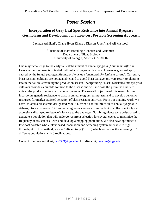## *Poster Session*

## <span id="page-19-1"></span><span id="page-19-0"></span>**Incorporation of Gray Leaf Spot Resistance into Annual Ryegrass Germplasm and Development of a Low-cost Portable Screening Approach**

Laxman Adhikari<sup>1</sup>, Chang Hyun Khang<sup>2</sup>, Kiersun Jones<sup>2</sup>, and Ali Missaoui<sup>1</sup>

<sup>1</sup> Institute of Plant Breeding, Genetics and Genomics <sup>2</sup>Department of Plant Biology University of Georgia, Athens, GA, 30602

One major challenge to the early fall establishment of annual ryegrass (*Lolium multiflorum* Lam.) in the southeast is potential outbreaks of ryegrass blast, also known as gray leaf spot, caused by the fungal pathogen *Magnaporthe oryzae* (anamorph *Pyricularia oryzae*). Currently, blast resistant cultivars are not available, and to avoid blast damage, growers resort to planting late in the fall thus reducing the production season. Incorporating "blast" resistance into ryegrass cultivars provides a durable solution to the disease and will increase the growers' ability to extend the production season of annual ryegrass. The overall objective of this research is to incorporate genetic resistance to blast in annual ryegrass germplasm and to develop genomic resources for marker-assisted selection of blast resistant cultivars. From our ongoing work, we have isolated a blast strain designated MoGA1, from a natural infection of annual ryegrass in Athens, GA and screened 147 annual ryegrass accessions from the NPGS collection. Only two accessions displayed resistance/tolerance to the pathogen. Surviving plants were polycrossed to generate a population that will undergo recurrent selection for several cycles to maximize the frequency of resistance alleles and develop a mapping population. We also have optimized a low-cost portable whole plant based inoculation and screening system amenable to high throughput. In this method, we use 120-cell trays (15 x 8) which will allow the screening of 15 different populations with 8 replications.

Contact: Laxman Adhikari, [la53359@uga.edu;](mailto:la53359@uga.edu) Ali Missaoui, [cssamm@uga.edu](mailto:cssamm@uga.edu)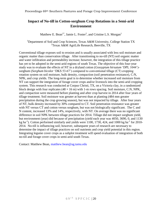## <span id="page-20-0"></span>**Impact of No-till in Cotton-sorghum Crop Rotations in a Semi-arid Environment**

Matthew E. Bean<sup>1\*</sup>, Jamie L. Foster<sup>2</sup>, and Cristine L.S. Morgan<sup>1</sup>

<span id="page-20-1"></span><sup>1</sup>Department of Soil and Crop Sciences, Texas A&M University, College Station TX  $2$ Texas A&M AgriLife Research, Beeville, TX

Conventional tillage exposes soil to erosion and is usually associated with less soil moisture and organic matter than conservation tillage. After transitioning to no-till (NT) soil organic matter and water infiltration and permeability increase; however, the integration of this tillage practice has yet to be adopted in the semi-arid regions of south Texas. The objective of this four-year study was to evaluate the effects of NT in a dryland cotton (*Gossypium hirsutum* 'DPL 1044') sorghum (*Sorghum bicolor* 'DKS 53-67') compared to conventional tillage (CT) cropping rotation system on soil moisture, bulk density, compaction (soil penetration resistance), C:N, NPK, and crop yields. The long-term goal is to determine whether increased soil moisture from NT can support the integration of forage cover crops and/or livestock into the semi-arid cropping system. This research was conducted at Corpus Christi, TX, on a Victoria clay, in a randomized block design with four replicates  $(48 \times 16 \text{ m})$  with 1-m rows spacing. Soil moisture, C:N, NPK, and compaction were measured before planting and after crop harvest in 2014 after four years of tillage treatment. Soil moisture was greater at harvest than at planting (484 mm greater precipitation during the crop growing season), but was not impacted by tillage. After four years of NT, bulk density increased by 30% compared to CT. Soil penetration resistance was greater with NT versus CT and cotton versus sorghum, but was not biologically significant. The C and N content, increased 13% and 14%, respectively, with NT. On average there was no significant difference in soil NPK between tillage practices for 2014. Tillage did not impact sorghum yield, but environment (year) did because of precipitation (yield each year was 4050, 3690, 0, and 1130 kg ha<sup>-1</sup>). Cotton performed similarly and yields were 1100, 1730, 424, and 1000 kg ha<sup>-1</sup> for 2010-2014. No-till is influencing soil; however, subsequent years of research are necessary to determine the impact of tillage practices on soil nutrients and crop yield potential in this region. Integrating legume cover crops as a subplot treatment will speed evaluation of integration of both no-till and forage cover crops in semi-arid south Texas.

Contact: Matthew Bean, [matthew.bean@ag.tamu.edu](mailto:matthew.bean@ag.tamu.edu)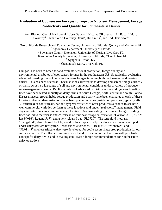## <span id="page-21-0"></span>**Evaluation of Cool-season Forages to Improve Nutrient Management, Forage Productivity and Quality for Southeastern Dairies**

<span id="page-21-1"></span>Ann Blount<sup>1</sup>, Cheryl Mackowiak<sup>1</sup>, Jose Dubeux<sup>1</sup>, Nicolas DiLorenzo<sup>1</sup>, Ali Babar<sup>2</sup>, Mary Sowerby<sup>3</sup>, Elena Toro<sup>3</sup>, Courtney Davis<sup>4</sup>, Bill Smith<sup>5</sup>, and Ted Henderson<sup>6</sup>

<sup>1</sup>North Florida Research and Education Center, University of Florida, Ouincy and Marianna, FL <sup>2</sup>Agronomy Department, University of Florida<sup>2</sup> <sup>3</sup> Suwannee County Extension, University of Florida, Live Oak, FL <sup>4</sup>Okeechobee County Extension, University of Florida, Okeechobee, FL <sup>5</sup> Syngenta, Union, KY <sup>6</sup> Shenandoah Dairy, Live Oak, FL

Our goal has been to breed for and evaluate seasonal production, forage quality and environmental attributes of cool-season forages in the southeastern U.S. Specifically, evaluating advanced breeding lines of cool-season grass forages targeting both confinement and grazing dairies. This has been successful because it has allowed us to develop and screen forages directly on-farm, across a wide-range of soil and environmental conditions under a variety of producerrun-management systems. Replicated trials of advanced oat, triticale, rye and ryegrass breeding lines have been tested annually on dairy farms in South Georgia, north, central and south Florida. Disease, insect, growth habit, forage production and quality have been evaluated at each of these locations. Annual demonstrations have been planted of side-by-side comparisons (typically 20- 30 varieties) of oat, triticale, rye and ryegrass varieties to offer producers a chance to see how well commercial varieties perform at these locations and under "real-world" management. Field days and site visits are common at each location. On-farm testing of advanced forage breeding lines has led to the release and co-release of four new forage oat varieties, "Horizon 201", "RAM LA 99016", Legend 567", and a new released oat-"FL0720". The tetraploid ryegrass, "Earlyploid", also released by UF, was developed specifically for dairies, as it was developed under dairy effluent fertigation. Three triticale varieties, "Trical 342", "Monarch", and "FL01143" awnless triticale also were developed for cool-season silage crop production for our southern dairies. The efforts from this research and extension outreach aids us with proof-ofconcept for dairy BMPs and in making cool-season forage recommendations for Southeastern dairy operations.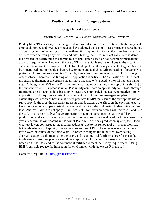## **Poultry Litter Use in Forage Systems**

Greg Flint and Rocky Lemus

## Department of Plant and Soil Sciences, Mississippi State University

<span id="page-22-1"></span><span id="page-22-0"></span>Poultry litter (PL) has long been recognized as a useful source of fertilization in both forage and crop land. Forage and livestock producers have adopted the use of PL as a nitrogen source in hay and grazing land. When using PL as a fertilizer, it is important to follow the same basic steps that are used when selecting any fertilizer and rate. Testing the PL for nutrient value is considered the first step in determining the correct rate of application based on soil test recommendations and crop requirements. However, the use of PL is not a viable source of N due to the organic status of the nutrient. N is only available for plant uptake in the inorganic state. Organic N must be mineralized into inorganic N before becoming plant available. Mineralization of organic N is performed by soil microbes and is affected by temperature, soil moisture and soil pH, among other factors. Therefore, the timing of PL application is critical. The application of PL to meet nitrogen requirement of the grasses means more phosphate (P) added to the soil than the plants use. Although over 90% of the P in the litter is available for plant uptake, approximately 13% of the phosphorus in PL is water soluble. P solubility can create an opportunity for P loses through runoff, making PL applications based on P needs a recommended management practice. Proper application of PL requires a nutrient management plan. A nutrient management plan is essentially a collection of best management practices (BMP) that assures the appropriate use of PL to provide the crop the necessary nutrients and decreasing the effect on the environment. A key component of a proper nutrient management plan includes soil testing to determine nutrient load. Another BMP is to not apply PL in excess of 3 tons per acre which will increase P and K in the soil. In this case study a forage production system included grazing pasture and hay production paddocks. The amount of nutrients in the system was evaluated for three consecutive years to determine overloading in the soil of P and K. In the hay production system, the P load was kept lower, compared to the grazing paddocks, due to the removal of dry matter biomass, but levels where still kept high due to the constant use of PL. The same was seen with the K levels over the course of the three years. In order to mitigate future nutrient overloading alternatives such as alternating the use of PL and a commercial fertilizer source for N can be implemented. Another practice would be to apply the PL to meet the P needs for the forage based on the soil test and to use commercial fertilizer to meet the N crop requirement. Using BMP's can help reduce the impact on the environment with the excess P in the soil.

Contact: Greg Flint, [GFlint@pss.msstate.edu](mailto:GFlint@pss.msstate.edu)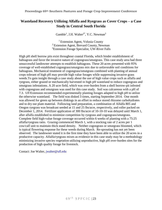## <span id="page-23-1"></span><span id="page-23-0"></span>**Wasteland Recovery Utilizing Alfalfa and Ryegrass as Cover Crops – a Case Study in Central South Florida**

Gamble<sup>1</sup>, J.H. Walter<sup>2\*</sup>, Y.C. Newman<sup>3</sup>

<sup>1</sup> Extension Agent, Volusia County <sup>2</sup> Extension Agent, Brevard County, Newman <sup>3</sup>Extension Forage Specialist, UW-River Falls

High pH shell borrow pits exist throughout coastal Florida, which hinder establishment of bahiagrass and favor the invasive nature of cogongrass/smutgrass. This case study area had three unsuccessful landowner attempts to establish bahiagrass. These 20 acres presented with 95% coverage of well-established cogongrass/smutgrass mix due to unfavorable soil conditions for bahiagrass. Mechanical treatment of cogongrass/smutgrass combined with planting of annual crops tolerant of high pH may provide high value forages while suppressing invasive grass weeds.To gain insight through a case study about the use of high value crops such as alfalfa and ryegrass, either grazed or mechanically harvested in high pH wasteland to reduce cogongrass and smutgrass infestations. A 20 acre field, which was over-burden from a shell borrow-pit infested with cogongrass and smutgrass was used for this case study. Soil was calcareous with a pH of 7.3. UF/Extension recommended experimentally planting forages adapted to high pH to utilize the otherwise wasteland. The field was disked 3 times, starting September 2014. One month was allowed for green up between diskings in an effort to reduce stored rhizome carbohydrates and to dry out plant material. Following land preparation, a combination of Alfalfa 805 and Oregon ryegrass was broadcast seeded at 15 and 25 lbs/acre, respectively, and roller packed on December 1, 2014. Fertilizer application of 300 lbs/acre of 10-10-10 was delayed until March 1, after alfalfa established to minimize competition by ryegrass and cogongrass/smutgrass. Complete field high-value forage coverage occurred within 6 weeks of planting with a 75:25 alfalfa/ryegrass ratio. Grazing commenced March 1, with a stocking rate of 2 acres per 1 cow/calf unit to maintain thick stand density. Neither cogongrass or smutgrass bloomed, which is typical flowering response for these weeds during March. Re-sprouting has not yet been observed. The landowner stated it is the first time they have been able to utilize the 20 acres in a productive capacity. Alfalfa/ryegrass mixes as evidence in this case study may be a methodology minimizing invasive species vegetation utilizing unproductive, high pH over-burden sites for the production of high quality forage for livestock.

Contact: Joe Walter, [jwalter@ufl.edu](mailto:jwalter@ufl.edu)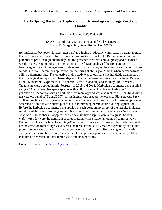## <span id="page-24-1"></span><span id="page-24-0"></span>**Early Spring Herbicide Application on Bermudagrass Forage Yield and Quality**

Kun-Jun Han and E.K. Twidwell

LSU School of Plant, Environmental and Soil Sciences 104 M.B. Sturgis Hall, Baton Rouge, LA 70803

Bermudagrass [*Cynodon dactylon* (L.) Pers] is a highly productive warm-season perennial grass that is commonly grown for hay in the southeast region of the USA. Bermudagrass has the potential to produce high quality hay, but the presence of winter annual grassy and broadleaf weeds in the spring months can often diminish the forage quality of the first cutting of bermudagrass hay. A management strategy used by bermudagrass hay producers to control these weeds is to make herbicide applications in the spring (February or March) when bermudagrass is still in a dormant state. The objective of this study was to evaluate five herbicide treatments on the forage yield and quality of bermudagrass. Herbicide treatments evaluated included Pastora (1 or 1.5 oz/acre); Glyphosate (11 oz/acre); Plateau (4 oz/acre) and Journey (10.6 oz/acre). Treatments were applied in mid-February of 2013 and 2014. Herbicide treatments were applied using a  $CO_2$ -powered backpack sprayer with an 8 ft boom and calibrated to deliver 15 gallons/acre. A control with no herbicide treatment applied was also included. A hayfield with a ten-year old stand of 'Sumrall 007' bermudagrass was used as the test site. Plot size was 8 ft x 25 ft and replicated four times in a randomized complete block design. Each treatment plot was separated by an 8 ft wide buffer plot to aid in minimizing herbicide drift during application. Before the herbicide treatments were applied in each year, an inventory of the test site indicated weed populations of Carolina geranium (*Geranium carolinianum* L.), dandelion (*Taraxacum officinale* G.H. Weber in Wiggers), curly dock (*Rumex crispus*), annual ryegrass (*Lolium multiflorum* L.) were the dominant species present, while smaller amounts of common vetch (*Vicia sativa* L.) and white clover (*Trifolium repens* L.) were also present. Herbicide treatment had no effect on total forage yield across the three harvests. Dry matter digestibility and crude protein content were affected by herbicide treatment and harvest. Results suggest that early spring herbicide treatments may be beneficial in improving pure stand bermudagrass yield but may not be beneficial in total forage yield and its feed value.

Contact: Kun-Jun Han, [Khan@agcenter.lsu.edu](mailto:Khan@agcenter.lsu.edu)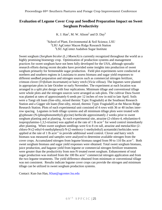## <span id="page-25-1"></span><span id="page-25-0"></span>**Evaluation of Legume Cover Crop and Seedbed Preparation Impact on Sweet Sorghum Productivity**

K. J. Han<sup>1</sup>, M. W. Alison<sup>2</sup> and D. Day<sup>3</sup>

<sup>1</sup>School of Plant, Environmental & Soil Science, LSU <sup>2</sup>LSU AgCenter Macon Ridge Research Station <sup>3</sup>LSU AgCenter Audubon Sugar Institute

Sweet sorghum (*Sorghum bicolor (L.) Moench*) is currently recognized throughout the world as a highly promising bioenergy crop. Optimization of production systems and management practices for sweet sorghum have not been fully developed for the USA, although sporadic research efforts during recent decades have provided some insights into production of sweet sorghum primarily for fermentable sugar production. Field plot experiments were conducted at northern and southern regions in Louisiana to assess biomass and sugar yield responses to different seedbed preparation and nitrogen sources such as commercial nitrogen fertilizer, crimson clover (*Trifolium incarnatum*) or hairy vetch (*Vicia villosa*). The legumes were planted in appropriate plots in late October or early November. The experiment at each location was arranged in a split plot design with four replications. Minimum tillage and conventional tillage were whole plots and the nitrogen sources were arranged as sub-plots. The cultivar Dura Sweet was planted at rates of approximately 6 seeds per 12 inches of row in mid to late April. Soils were a Tangi silt loam (fine-silty, mixed thermic Typic Fragiudult) at the Southeast Research Station and a Gigger silt loam (fine-silty, mixed, thermic Typic Fragiudalf) at the Macon Ridge Research Station. Plots of each experimental unit consisted of 4 rows with 36 or 40 inches interrow spacing. Legumes in both tillage systems and all minimum tillage plots were treated with glyphosate (N-(phosphonomethyl) glycine) herbicide approximately 2 weeks prior to sweet sorghum planting and at planting. At each experimental site, atrazine (2-chloro-4, ethylamino-6 isopropylamino-1,3,5-triazine) was applied at the rate of 1 lb acre<sup>-1</sup> for weed control immediately after planting. When sweet sorghum seedlings were 6 to 8 cm tall, atrazine and metolachlor (2 chloro-N-(2-ethyl-6-methylphenyl)-N-(2-methoxy-1-methylethyl) acetamide) herbicides were applied at the rate of  $1$  lb acre<sup>-1</sup> to provide additional weed control. Clover and hairy vetch biomass was measured and samples were analyzed to determine available nitrogen from the cover crops. Accumulated nitrogen from legume biomass ranged from 99 to 110 lbs acre<sup>-1</sup>. Both sweet sorghum biomass and sugar yield responses were obtained. Total sweet sorghum biomass, juice production, and bagasse yield from legume or commercial nitrogen fertilizer treatments were greater than the productivity from non-N treated sweet sorghum. Enhancement of total sugar production was realized from the  $100$  lbs acre<sup>-1</sup> commercial nitrogen application and from the two legume treatments. The yield difference obtained from minimum or conventional tillage was not consistent. Results indicate legume cover crops can provide the nitrogen and minimum tillage can be utilized in sweet sorghum production systems.

Contact: Kun-Jun Han, [Khan@agcenter.lsu.edu](mailto:Khan@agcenter.lsu.edu)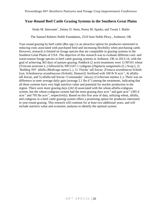## <span id="page-26-1"></span><span id="page-26-0"></span>**Year-Round Beef Cattle Grazing Systems in the Southern Great Plains**

Sindy M. Interrante\*, Jimmy D. Stein, Penny M. Sparks, and Twain J. Butler

The Samuel Roberts Noble Foundation, 2510 Sam Noble Pkwy., Ardmore, OK

Year-round grazing by beef cattle (*Bos* spp.) is an attractive option for producers interested in reducing costs associated with purchased feed and increasing flexibility when purchasing cattle. However, research is limited on forage species that are compatible in grazing systems in the Southern Great Plains of USA. The objective of this research was to evaluate different cool- and warm-season forage species in beef cattle grazing systems in Ardmore, OK in 2013-14, with the goal of achieving 365 days of pasture grazing. Paddock (2 acre) treatments were 1) NF101 wheat (*Triticum aestivum* L.) followed by NFCG07-1 crabgrass [*Digitaria sanguinalis* (L.) Scop.], 2) 'Bulldog 505' alfalfa (*Medicago sativa* L.), 3) 'Flecha' tall fescue {*Festuca arundinacea* Schreb. [syn. *Schedonorus arundinaceus* (Schreb). Dumort]} fertilized with 100 lb N acre<sup>-1</sup>, 4) alfalfatall fescue, and 5) alfalfa-tall fescue-'Commander' chicory (*Cichorium intybus* L.). There was no difference in steer average daily gain (average  $2.1$  lbs  $d^{-1}$ ) among the treatments, indicating that all these systems have very high nutritive value and potential for stocker production in the region. There were more grazing days (242 d) associated with the wheat-alfalfa-crabgrass system, but the wheat-crabgrass system had the most grazing days acre<sup>-1</sup> and gain acre<sup>-1</sup> (365 d) acre<sup>-1</sup> and 795 lbs acre<sup>-1</sup>, respectively). Based on this first year of data, utilizing wheat, alfalfa, and crabgrass in a beef cattle grazing system offers a promising option for producers interested in year-round grazing. This research will continue for at least two additional years, and will include nutritive value and economic analyses to identify the optimal system.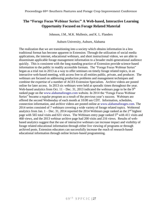## <span id="page-27-1"></span><span id="page-27-0"></span>**The "Forage Focus Webinar Series:" A Web-based, Interactive Learning Opportunity Focused on Forage Related Material**

Johnson, J.M., M.K. Mullenix, and K. L. Flanders

Auburn University, Auburn, Alabama

The realization that we are transitioning into a society which obtains information in a less traditional format has become apparent in Extension. Through the utilization of social media applications, the internet, educational webinars, and short instructional videos, we are able to disseminate applicable forage management information to a broader multi-generational audience quickly. This is consistent with the long standing practice of Extension provide science-based information to the public in readily accessible formats. The "Forage Focus Webinar Series" began as a trial run in 2013 as a way to offer seminars on timely forage related topics, in an interactive web-based meeting, with access free to all entities public, private, and producer. The webinars are focused on addressing production problems and management techniques and combine the expertise of a number of ACES Extension Specialists. Archive videos are posted online for later access. In 2013 six webinars were held at sporadic times throughout the year. Web-based analytics from Oct.  $11 - Dec.$  31, 2013 indicated the webinars page to be the 9<sup>th</sup> ranked page on the [www.alabamaforages.com](http://www.alabamaforages.com/) website. In 2014 the "Forage Focus Webinar Series" became a regular program as a result of the previous year's success. Webinars are offered the second Wednesday of each month at 10:00 am CDT. Information, schedules, connection information, and archive videos are posted online at [www.alabamaforages.com.](http://www.alabamaforages.com/) The 2014 series consisted of 7 webinars covering a wide variety of forage related topics. Webtrend analytics from Jan.  $1 - Dec. 31$ , 2014 reported the 2014 Webinars page ranked as the  $2<sup>nd</sup>$  highest page with 565 total visits and 631 views. The Webinars entry page ranked 5<sup>th</sup> with 411 visits and 468 views, and the 2013 webinar archive page had 200 visits and 216 views. Results of webbased analytics suggest that the use of interactive webinars can increase impact and visibility of forage related educational information through either live viewing of programs or through archived posts. Extension educators can successfully increase the reach of research-based educational information through online lecture-based programming.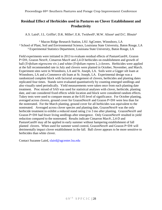## <span id="page-28-0"></span>**Residual Effect of Herbicides used in Pastures on Clover Establishment and Productivity**

<span id="page-28-1"></span>A.S. Laird<sup>1</sup>, J.L. Griffin<sup>2</sup>, D.K. Miller<sup>1</sup>, E.K. Twidwell<sup>2</sup>, M.W. Alison<sup>1</sup> and D.C. Blouin<sup>3</sup>

<sup>1</sup> Macon Ridge Research Station, LSU AgCenter, Winnsboro, LA ² School of Plant, Soil and Environmental Science, Louisiana State University, Baton Rouge, LA ³ Experimental Statistics Department, Louisiana State University, Baton Rouge, LA

Field experiments were initiated in 2013 to evaluate residual effects of PastureGard®, Grazon P+D®, Grazon Next®, Cimarron Max® and 2,4-D herbicides on establishment and growth of ball (*Trifolium nigrescens* viv.) and white (*Trifolium repens* L.) clovers. Herbicides were applied at the full recommended rate in July and clovers were planted in October, November, and March. Experiment sites were in Winnsboro, LA and St. Joseph, LA. Soils were a Gigger silt loam at Winnsboro, LA and a Commerce silt loam at St. Joseph, LA. Experimental design was a randomized complete block with factorial arrangement of clovers, herbicides and planting dates replicated four times. Stands were evaluated quantitatively by counting emerged seedlings and also visually rated periodically. Yield measurements were taken once from each planting date treatment. Proc mixed of SAS was used for statistical analyses with clover, herbicide, planting date, and rate considered fixed effects while location and block were considered random effects. Tukey tests were used to compare means at the 0.05 level of significance. For October planting, averaged across clovers, ground cover for GrazonNext® and Grazon P+D® were less than for the nontreated. For the March planting, ground cover for all herbicides was equivalent to the nontreated. Averaged across clover species and planting date, GrazonNext® was the only herbicide treatment to exhibit a reduced stand rating 2 to 3 mo after planting. GrazonNext<sup>®</sup> and Grazon P+D® had fewer living seedlings after emergence. Only GrazonNext® resulted in yield reduction compared to the nontreated. Results indicate Cimarron Max®, 2,4-D and PastureGard® may all be applied in early summer without hampering establishment of fall planted clovers. When used for summer weed control, GrazonNext® and Grazon P+D® will detrimentally impact clover establishment in the fall. Ball clover appears to be more sensitive to herbicides than white clover.

Contact Suzanne Laird, [slaird@agcenter.lsu.edu](mailto:slaird@agcenter.lsu.edu)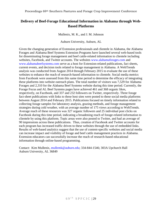## <span id="page-29-1"></span><span id="page-29-0"></span>**Delivery of Beef-Forage Educational Information in Alabama through Web-Based Platforms**

Mullenix, M. K., and J. M. Johnson

Auburn University, Auburn, AL

Given the changing generation of Extension professionals and clientele in Alabama, the Alabama Forages and Alabama Beef Systems Extension Programs have launched several web-based tools for disseminating forage management and beef cattle-related information to clientele including websites, Facebook, and Twitter accounts. The websites [www.alabamaforages.com](http://www.alabamaforages.com/) and [www.alabamabeefsystems.com](http://www.alabamabeefsystems.com/) serve as a host for Extension-related publications, fact sheets, current events, and decision tools related to forage management in Alabama. A WebTrends analysis was conducted from August 2014 through February 2015 to evaluate the use of these websites to enhance the reach of research-based information to clientele. Social media metrics from Facebook were assessed from this same time period to determine the efficacy of integrating these platforms into website outreach plans. The total number of visitors was 7,529 for Alabama Forages and 2,310 for the Alabama Beef Systems website during this time period. Currently, the Forage Focus and AL Beef Systems pages have achieved 461 and 368 organic likes, respectively, on Facebook, and 337 and 232 followers on Twitter, respectively. Three forage fact-sheet publications with links to these host sites were posted to these social media platforms between August 2014 and February 2015. Publications focused on timely information related to collecting forage samples for laboratory analysis, grazing methods, and forage management strategies during cold weather, with an average number of 175 views according to WebTrends. Average reach of these resources was 327 organic followers and 25 individual post clicks on Facebook during this time period, indicating a broadening reach of forage-related information to clientele by using this platform. Topic areas were also posted to Twitter, and had an average of 90 impressions across these publications. Thus, creation of Facebook and Twitter accounts for each program has increased traffic driven to these websites through the use of embedded links. Results of web-based analytics suggest that the use of content-specific websites and social media can increase impact and visibility of forage and beef cattle management practices in Alabama. Extension educators can successfully increase the reach of research-based educational information through online-based programming.

Contact: Kim Mullenix, [mullemk@auburn.edu;](mailto:mullemk@auburn.edu) 334-844-1546; 303A Upchurch Hall Auburn University, AL 36849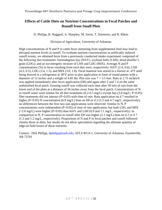## <span id="page-30-1"></span><span id="page-30-0"></span>**Effects of Cattle Diets on Nutrient Concentrations in Fecal Patches and Runoff from Small Plots**

D. Philipp, B. Haggard, A. Sharpley, M. Savin, T. Simmons, and R. Rhein

## Division of Agriculture, University of Arkansas

High concentrations of N and P in cattle feces stemming from supplemental feed may lead to elevated nutrient levels in runoff. To evaluate nutrient concentrations in artificially induced runoff events, we obtained feces from a previously conducted intake experiment comprised of the following diet treatments: bermudagrass hay (HAY); soybean hulls (LSH); dried distiller's grain (LDG); and an iso-energetic mixture of LSH and LDG (MIX). Average N and P concentrations (%) in feces resulting from each diet were, respectively: HAY (2.4, 0.6), LSH  $(4.3, 0.5)$ , LDG  $(3.4, 1.5)$ , and MIX  $(3.0, 1.8)$ . Fecal material was stored in a freezer at -4 $\textdegree$ F until being thawed in a refrigerator at 39°F prior to plot application in form of round patties with a diameter of 12 inches and a weight of 4.85 lbs. Plot size was  $7 \times 3.5$  feet. Rain at 2.75 inches/h was applied immediately after feces application (D0) and again after 2 and 7 d on the same undisturbed fecal patch. Ensuing runoff was collected each time after 30 min of rain from the lower end of the plots at a distance of 56 inches away from the fecal patch. Concentrations of N in runoff water were similar for all diet treatments (6.2-6.3 mg/L) except hay (3.8 mg/L; P<0.05). Diet treatments did not interact (P>0.05) with time of rain. Rain application on d 7 resulted in higher (P<0.05) N concentration (6.9 mg/L) than on D0 or d 2 (5.3 and 4.7 mg/L, respectively); no differences between the first two rain applications were observed. Similar to N, P concentrations were independent  $(P<0.05)$  of time of rain application, but both LDG and MIX (~2.0 mg/L) were higher (P<0.05) than HAY and LSH (0.9 and 1.1 mg/L, respectively). In comparison to N, P concentration in runoff after D0 was higher (2.1 mg/L) than on d 2 or d 7 (1.3 and 1.2 mg/L, respectively). Proportions of N and P in fecal patches and runoff followed closely those in diets, but results do not allow speculation regarding the ultimate quantity of edge-of-field losses of these nutrients.

Contact: Dirk Philipp, [dphilipp@uark.edu;](mailto:dphilipp@uark.edu) AFLS B114 1, University of Arkansas, Fayetteville, AR 72701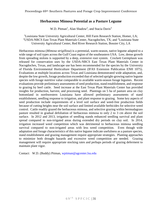## **Herbaceous Mimosa Potential as a Pasture Legume**

W.D. Pitman<sup>1</sup>, Alan Shadow<sup>2</sup>, and Stacia Davis<sup>3</sup>

<span id="page-31-1"></span><span id="page-31-0"></span><sup>1</sup>Louisiana State University Agricultural Center, Hill Farm Research Station, Homer, LA; <sup>2</sup>USDA-NRCS East Texas Plant Materials Center, Nacogdoches, TX; and <sup>3</sup>Louisiana State University Agricultural Center, Red River Research Station, Bossier City, LA

Herbaceous mimosa (*Mimosa strigillosa*) is a perennial, warm-season, native legume adapted to a wide range of soil types across the Gulf Coast region of the southeastern USA. Low, dense growth from spreading stolons is supported by a deep, extensive root system. Crockett Germplasm was released for conservation uses by the USDA-NRCS East Texas Plant Materials Center in Nacogdoches, Texas, and landscape use has been recommended for the species by the University of Florida Environmental Horticulture Department (IFAS Extension Publication ENH 1075). Evaluations at multiple locations across Texas and Louisiana demonstrated wide adaptation, and, despite the low growth, forage production exceeded that of selected upright-growing native legume species with forage nutritive value comparable to available warm-season forage legumes. Recent evaluations provide preliminary assessments of seed production, stand establishment, and response to grazing by beef cattle. Seed increase at the East Texas Plant Materials Center has provided insights for production, harvest, and processing seed. Plantings on 5 ha of pasture area on clay bottomland in northwestern Louisiana have allowed preliminary assessments of stand establishment, seedling response to irrigation, and plant response to grazing. Some key aspects of seed production include requirements of a level soil surface and weed-free production fields because of cutting heights near the soil surface and limited available herbicides for selective weed control. Cattle readily grazed the herbaceous mimosa, and selective grazing within bermudagrass pasture resulted in gradual defoliation of herbaceous mimosa to only 2 to 3 cm above the soil surface. In 2012 and 2013, irrigation of seedling stands enhanced seedling survival and plant spread compared to non-irrigated areas during extended dry periods on clay soil. In 2014, irrigation increased weed competition which was detrimental to herbaceous mimosa seedling survival compared to non-irrigated areas with less weed competition. Even though wide adaptation and forage characteristics of this native legume indicate usefulness as a pasture species, stand establishment and grazing management require appropriate strategies. Planting approaches to minimize both drought hazards and excessive weed competition are needed. Grazing management will require appropriate stocking rates and perhaps periods of grazing deferment to maintain plant vigor.

Contact: W.D. (Buddy) Pitman, [wpitman@agcenter.lsu.edu](mailto:wpitman@agcenter.lsu.edu)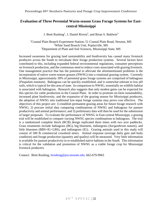## <span id="page-32-1"></span><span id="page-32-0"></span>**Evaluation of Three Perennial Warm-season Grass Forage Systems for Eastcentral Mississippi**

J. Brett Rushing<sup>1</sup>, J. Daniel Rivera<sup>2</sup>, and Brian S. Baldwin<sup>3</sup>

<sup>1</sup>Coastal Plain Branch Experiment Station; 51 Coastal Plain Road, Newton, MS <sup>2</sup>White Sand Branch Unit, Poplarville, MS <sup>3</sup>Department of Plant and Soil Sciences, Mississippi State, MS

Increased awareness for grazing land sustainability and biodiversity has caused many livestock producers across the South to reevaluate their forage production systems. Several factors have contributed to this, including expanded federal environmental regulations, consumer perceptions on livestock production, and the continuous need to reduce costs associated with grazing livestock. One management practice that has the potential to alleviate the aforementioned problems is the incorporation of native warm-season grasses (NWSG) into a rotational grazing system. Currently in Mississippi, approximately 30% of perennial grass forage systems are comprised of bahiagrass (*Paspalum notatum*). Bahiagrass can be quickly established, and is somewhat tolerant to low pH soils, which is typical for this area of state. In comparison to NWSG, essentially no wildlife habitat is associated with bahiagrass. Research also suggests that only modest gains can be expected for this species for cattle production in the Coastal Plain. In order to promote on-farm sustainability, increased plant biodiversity, and the expansion of the grazing season for Mississippi producers, the adoption of NWSG into traditional low-input forage systems may prove cost effective. The objectives of this project are: 1) establish permanent grazing areas for future forage research with NWSG; 2) procure initial data comparing combinations of NWSG and bahiagrass for pasture productivity and animal performance; and 3) preliminary data will then be used for the submission of larger proposals. To evaluate the performance of NWSG in East-central Mississippi, a grazing trial will be established to compare varying NWSG species combinations to bahiagrass. The trial is a randomized complete block (RCB) design replicated three times with two acre paddocks. Grass treatments include bahiagrass (BG), big bluestem, indiangrass (*Sorgasthrum nutans*), and little bluestem (BBS+IG+LBS), and indiangrass (IG). Grazing animals used in this study will consist of 500 lb commercial crossbred steers. Animal response (average daily gain and body condition) and forage production (quantity and quality) will be measured. Very little information is available for pasture productivity in re-established native habitats in the South. This information is critical for the validation and promotion of NWSG as a viable forage crop for Mississippi livestock producers.

Contact: Brett Rushing, [brushing@pss.msstate.edu;](mailto:brushing@pss.msstate.edu) 662-679-9963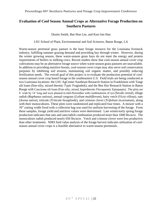## <span id="page-33-1"></span><span id="page-33-0"></span>**Evaluation of Cool Season Annual Crops as Alternative Forage Production on Southern Pastures**

#### Dustin Smith, Bae Hun Lee, and Kun-Jun Han

#### LSU School of Plant, Environmental and Soil Sciences, Baton Rouge, LA

Warm-season perennial grass pasture is the base forage resource for the Louisiana livestock industry, fulfilling summer grazing demand and providing hay through winter. However, during the winter growing season, these warm-season grass hays do not meet the energy and protein requirements of heifers or milking cows. Recent studies show that cool-season annual cover crop cultivations may be an alternative forage source when warm-season grass pastures are unavailable. In addition to providing nutritive boosts, cool-season cover crops may also serve soil conservation purposes by inhibiting soil erosion, maintaining soil organic matter, and possibly reducing fertilization needs. The overall goal of this project is to evaluate the production potential of coolseason annual cover crop based forage in the southeastern U.S. Field trials are being conducted at two Louisiana locations: the LSU AgCenter Southeast Research Station in Franklinton with Tangi silt loam (fine-silty, mixed thermic Typic Fragiudult), and the Ben Hur Research Station in Baton Rouge with Cancienne silt loam (Fine-silty, mixed, hyperthermic Fluvaquentic Epiaquepts). The plots are 6' wide by 14' long and were planted in mid-November with combinations of rye (Secale cereal), tillage radish (*Raphanus sativus*), annual ryegrass (*Lolium multiflorum*), hairy vetch (*Vicia villosa*), oats (*Avena sativa*), triticale (*Triticale hexaploide*), and crimson clover (*Trifolium incarnatum*), along with their monocultures. These plots were randomized and replicated four times. A mower with a 30" cutting width fixed with a collection bag was used for uniform harvesting of the forage. From these samples, forage yield and nutritive values were determined. Late winter/early spring forage production indicates that oats and oats/radish combination produced more than 1000 lbs/acre. The monoculture radish produced nearly 650 lbs/acre. Vetch and crimson clover were less productive than other treatments. NIRS feed value analysis of the forage harvest indicates utilization of coolseason annual cover crops is a feasible alternative to warm-season perennials.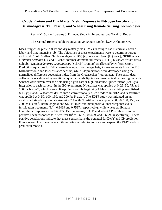## <span id="page-34-0"></span>**Crude Protein and Dry Matter Yield Response to Nitrogen Fertilization in Bermudagrass, Tall Fescue, and Wheat using Remote Sensing Technologies**

<span id="page-34-1"></span>Penny M. Sparks\* , Jeremy J. Pittman, Sindy M. Interrante, and Twain J. Butler

The Samuel Roberts Noble Foundation, 2510 Sam Noble Pkwy, Ardmore, OK

Measuring crude protein (CP) and dry matter yield (DMY) in forages has historically been a labor- and time-intensive job. The objectives of these experiments were to determine forage yield and CP of 'Midland 99' bermudagrass (BG) [*Cynodon dactylon* (L.) Pers.], NF101 wheat (*Triticum aestivum* L.), and 'Flecha' summer-dormant tall fescue (SDTF) [*Festuca arundinacea* Schreb. [syn. *Schedonorus arundinaceus* (Schreb.) Dumort] as affected by N fertilization. Prediction equations for DMY were developed from forage height measurements from the 120 MHz ultrasonic and laser distance sensors, while CP predictions were developed using the normalized difference vegetation index from the Greenseeker® radiometer. The sensor data collected was validated by traditional quadrat hand-clipping and mechanical harvesting methods. Sensors were driven over the field using a golf cart or high-clearance Spider tractor (LeeAgra Inc.) prior to each harvest. In the BG experiment, N fertilizer was applied at 0, 25, 50, 75, and 100 lbs N acre-1 , which were split-applied monthly beginning 1 May to an existing established (>10 yr) stand. Wheat was drilled into a conventionally tilled seedbed in 2012, and N fertilizer was applied at 0, 50, 100, 150, and 200 lbs N acre<sup>-1</sup>. The SDTF study was initiated on an established stand (1 yr) in late August 2014 with N fertilizer was applied at 0, 50, 100, 150, and 200 lbs N acre<sup>-1</sup>. Bermudagrass and SDTF DMY exhibited positive linear responses to N fertilization treatments ( $\mathbb{R}^2 = 0.8469$  and 0.7587, respectively), while wheat exhibited a logarithmic response ( $R^2 = 0.6317$ ). Bermudagrass, SDTF, and wheat CP exhibited similar positive linear responses to N fertilizer ( $R^2 = 0.6576$ , 0.6689, and 0.6324, respectively). These positive correlations indicate that these sensors have the potential for DMY and CP prediction. Future research will evaluate additional sites in order to improve and expand the DMY and CP prediction models.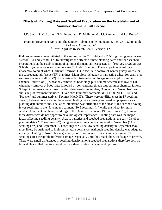## <span id="page-35-0"></span>**Effects of Planting Date and Seedbed Preparation on the Establishment of Summer Dormant Tall Fescue**

<span id="page-35-1"></span>J.D. Stein<sup>1</sup>, P.M. Sparks<sup>1</sup>, S.M. Interrante<sup>1</sup>, D. Malinowski<sup>2</sup>, J.J. Pittman<sup>1</sup>, and T.J. Butler<sup>1</sup>

<sup>1</sup> Forage Improvement Division, The Samuel Roberts Noble Foundation, Inc., 2510 Sam Noble Parkway, Ardmore, OK <sup>2</sup> Texas AgriLife Research Center, Vernon, TX

Field experiments were initiated in the autumn of the 2013-14 and 2014-15 growing seasons near Vernon, TX and Vashti, TX, to investigate the effects of three planting dates and four seedbed preparations on the establishment of summer-dormant tall fescue (SDTF) [*Festuca arundinacea* Schreb. [syn. *Schedonorus arundinaceus* (Schreb.) Dumort]. These experiments followed imazamox-tolerant wheat (*Triticum aestivum* L.) to facilitate control of winter grassy weeds for the subsequent tall fescue (TF) plantings. Main plots included (1) harvesting wheat for grain plus summer chemical-fallow, (2) glyphosate at boot-stage but no forage removal plus summer chemical-fallow, or (3) wheat hay removal at boot-stage plus summer chemical-fallow or (4) wheat hay removal at boot stage followed by conventional tillage plus summer chemical fallow. Sub-plot treatments were three planting dates (early September, October, and November), and sub-sub-plot treatment included TF varieties (summer-dormant: NFTF1700, NFTF1800, and 'Prosper' and summer-active: 'Texoma MaxQ II'). There were no differences in TF seedling density between locations but there were planting date x variety and seedbed preparations x planting date interactions. The latter interaction was attributed to the clean-tilled seedbed having fewer seedlings in the November treatment  $(10.5 \text{ seedlings ft}^{-2})$  while the wheat for grain seedbed treatment had fewer seedlings in the October treatment  $(19.7 \text{ seedlings ft}^{-2})$ , however these differences do not appear to have biological importance. Planting date was the major factor affecting seedling density. Across varieties and seedbed preparations, the early October planting date (23.7 seedlings  $\text{ft}^2$ ) had greater seedling counts compared to November (14.3 seedlings  $\text{ft}^2$ ) and September (5.4 seedlings  $\text{ft}^2$ ). The low seedling density in September may most likely be attributed to high-temperature dormancy. Although seedling density was adequate initially, planting in November is generally not recommended since summer-dormant TF seedlings are susceptible to freeze damage, especially until they reach the 5-leaf stage of growth. There were small differences in seedling density among seedbed preparations therefore both notill and clean-tilled planting could be considered viable management options.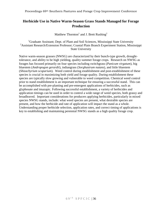## <span id="page-36-0"></span>**Herbicide Use in Native Warm-Season Grass Stands Managed for Forage Production**

Matthew Thornton<sup>1</sup> and J. Brett Rushing<sup>2</sup>

<span id="page-36-1"></span><sup>1</sup>Graduate Assistant; Dept. of Plant and Soil Sciences, Mississippi State University <sup>2</sup>Assistant Research/Extension Professor; Coastal Plain Branch Experiment Station, Mississippi State University

Native warm-season grasses (NWSG) are characterized by their bunch-type growth, droughttolerance, and ability to be high yielding, quality summer forage crops. Research on NWSG as forages has focused primarily on four species including switchgrass (*Panicum virgatum*), big bluestem (*Andropogon gerardii*), indiangrass (*Sorghastrum nutans*), and little bluestem (*Shizachyrium scoparium*). Weed control during establishment and post-establishment of these species is crucial in maximizing both yield and forage quality. During establishment these species are typically slow growing and vulnerable to weed competition. Chemical weed control prior to stand establishment is an important technique for ensuring a successful stand. This can be accomplished with pre-planting and pre-emergent applications of herbicides, such as glyphosate and imazapic. Following successful establishment, a variety of herbicides and application timings can be used in order to control a wide range of weed species, both grassy and broadleaved. Important considerations for producers applying herbicides, particularly in mixed species NWSG stands, include: what weed species are present, what desirable species are present, and how the herbicide and rate of application will impact the stand as a whole. Understanding proper herbicide selection, application rates, and correct timing of applications is key to establishing and maintaining perennial NWSG stands as a high quality forage crop.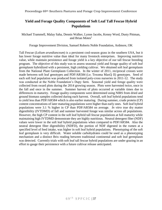## <span id="page-37-0"></span>**Yield and Forage Quality Components of Soft Leaf Tall Fescue Hybrid Populations**

<span id="page-37-1"></span>Michael Trammell, Malay Saha, Dennis Walker, Lynne Jacobs, Kenny Word, Dusty Pittman, and Brian Motes<sup>1</sup>

Forage Improvement Division, Samuel Roberts Noble Foundation, Ardmore, OK

Tall Fescue (*Lolium arundianceum*) is a persistent cool-season grass in the southern USA, but it has lower forage nutritive value than ideal for many livestock enterprises. Improving nutritive value, while maintain persistence and forage yield is a key objective of our tall fescue breeding program. The objective of this study was to assess seasonal yield and forage quality of soft leaf germplasm hybridized with a persistent, high yielding cultivar. We obtained soft leaf germplasm from the National Plant Germplasm Collection. In the winter of 2011, reciprocal crosses were made between soft leaf genotypes and PDF/AR584 (i.e. Texoma MaxQ II) genotypes. Seed of each soft leaf population was produced from isolated poly-cross nurseries in 2011-12. The study was conducted at the Noble Foundation's Dupy farm. Seasonal yield and forage quality were collected from sward plots during the 2014 growing season. Plots were harvested twice, once in the fall and once in the summer. Summer harvest of plots occurred at variable times due to differences in maturity. Forage quality components were determined using NIRS from dried and ground biomass samples collected during each harvest. Overall, soft leaf hybrid populations tend to yield less than PDF/AR584 which is also earlier maturing. During summer, crude protein (CP) content concentrations of later maturing populations were higher than early ones. Soft leaf hybrid populations were 3.1 % higher in CP than PDF/AR584 on average. *In vitro* true dry matter digestibility (IVTDMD) of fall and summer harvested forage was similar across all populations. However, the high CP content in the soft leaf hybrid tall fescue populations at full maturity while maintaining high IVTDMD demonstrate they are highly nutritious. Neutral detergent fiber (NDF) values were lower in the soft leaf hybrid populations when compared to PDF/AR584. Also the neutral detergent fiber digestibility (NDFD), the portion of NDF digested in the rumen at a specified level of feed intake, was higher in soft leaf hybrid populations. Phenotyping of the soft leaf germplasm is very difficult. Water soluble carbohydrates could be used as a phenotyping mechanism and a distinct Brix reading between traditional continental and soft leaf germplasm was detected. Currently trials with soft leaf tall fescue hybrid populations are under grazing in an effort to gauge their persistence with a future cultivar release anticipated.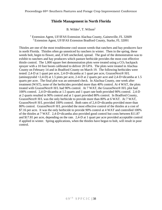## **Thistle Management in North Florida**

## B. Wilder<sup>1</sup>, T. Wilson<sup>2</sup>

<span id="page-38-1"></span><span id="page-38-0"></span><sup>1</sup> Extension Agent, UF/IFAS Extension Alachua County, Gainesville, FL 32609  $2$  Extension Agent, UF/IFAS Extension Bradford County, Starke, FL 32091

Thistles are one of the most troublesome cool season weeds that ranchers and hay producers face in north Florida. Thistles often go unnoticed by ranchers in winter. Then in the spring, these weeds bolt, begin to flower, and, if left unchecked, spread. The goal of the demonstration was to exhibit to ranchers and hay producers which pasture herbicide provides the most cost effective thistle control. The  $1,000$  square feet demonstration plots were treated using a  $CO<sub>2</sub>$  backpack sprayer with a 10 foot boom calibrated to deliver 20 GPA. The plots were treated in Alachua County on February 14 and in Bradford County on March 19. The following herbicides were tested: 2,4-D at 1 quart per acre, 2,4-D+dicamba at 1 quart per acre, GrazonNext® H/L (aminopyralid +2,4-D) at 1.5 pints per acre, 2-4-D at 2 quarts per acre and 2,4-D+dicamba at 1.5 quarts per acre. The final plot was an untreated check. In Alachua County, one week after treatment (WAT), none of the herbicides provided more than 40% control. At 4 WAT, the plots treated with GrazonNext® H/L had 90% control. At 7 WAT, the GrazonNext® H/L plot had 100% control. 2,4-D+dicamba at 1.5 quarts and 1 quart rate both provided 90% control. 2,4-D at 2 quarts resulted in 90% control and at 1 quart provided 80% control. In Bradford County, GrazonNext® H/L was the only herbicide to provide more than 80% at 6 WAT. At 7 WAT, GrazonNext® H/L provided 100% control. Both rates of 2,4-D+dicamba provided more than 80% control. GrazonNext® H/L provided the most effective control of the thistles at a cost of \$7.16 per acre. It was the only herbicide to provide 90% control at 4 WAT and controlled 100% of the thistles at 7 WAT. 2,4-D+dicamba also provided good control but costs between \$11.87 and \$17.81 per acre, depending on the rate. 2,4-D at 1 quart per acre provided acceptable control if applied in winter. Spring applications, when the thistles have begun to bolt, will result in poor control.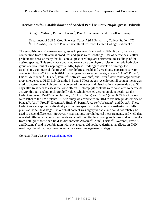## <span id="page-39-1"></span><span id="page-39-0"></span>**Herbicides for Establishment of Seeded Pearl Millet x Napiergrass Hybrids**

Greg B. Wilson<sup>1</sup>, Byron L. Burson<sup>2</sup>, Paul A. Baumann<sup>1</sup>, and Russell W. Jessup<sup>1</sup>

<sup>1</sup>Department of Soil & Crop Sciences, Texas A&M University, College Station, TX <sup>2</sup>USDA-ARS, Southern Plains Agricultural Research Center, College Station, TX

The establishment of warm-season grasses in pastures from seed is difficult partly because of competition from both annual broad leaf and grass weed seedlings. Use of herbicides is often problematic because many that kill annual grass seedlings are detrimental to seedlings of the desired species. This study was conducted to evaluate the phytotoxicity of multiple herbicide groups on pearl millet x napiergrass (PMN) hybrid seedlings to develop a strategy for establishing commercial plantings of PMN hybrids. Field and greenhouse experiments were conducted from 2012 through 2014. In two greenhouse experiments, Plateau®, Aim®, Prowl®, Dual®, Metribuzin®, Huskie®, Permit®, Aatrex®, Warrant®, and Direx® were foliar applied postcrop emergence to PMN hybrids at the 3-5 and 5-7 leaf stages. A chlorophyll content meter was used to determine total chlorophyll content of the leaves and visual ratings were made up to 30 days after treatment to assess the toxic effects. Chlorophyll contents were correlated to herbicide activity through declining chlorophyll values which reached zero upon plant death. Of the herbicides tested, Dual<sup>®</sup> (s-metolachlor; 0.10 lb a.i. /acre) and Direx<sup>®</sup> (urea; 0.53 lb a.i. /acre) were lethal to the PMN plants. A field study was conducted in 2014 to evaluate phytotoxicity of Plateau®, Aim®, Prowl®, Dicamba®, Huskie®, Permit®, Aatrex®, Warrant®, and Direx®. These herbicides were applied individually and in nine specific combinations over-the-top of PMN plants at the 5-8 leaf stage. Chlorophyll content was highly variable and could not reliably be used to detect differences. However, visual ratings, morphological measurements, and yield data revealed differences among treatments and confirmed findings from greenhouse studies. Results from both greenhouse and field studies indicate Atrazine®, Aim®, Huskie®, Warrant®, Prowl®, and Dicamba® and in combination with one another did not have detrimental effects on PMN seedlings; therefore, they have potential in a weed management strategy.

Contact: Russ Jessup, [rjessup@tamu.edu](mailto:rjessup@tamu.edu)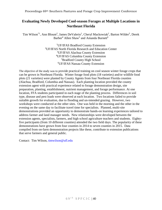## <span id="page-40-0"></span>**Evaluating Newly Developed Cool-season Forages at Multiple Locations in Northeast Florida**

<span id="page-40-1"></span>Tim Wilson<sup>\*1</sup>, Ann Blount<sup>2</sup>, James DeValerio<sup>1</sup>, Cheryl Mackowiak<sup>2</sup>, Barton Wilder<sup>3</sup>, Derek Barber<sup>4</sup> Allen Shaw<sup>5</sup> and Amanda Burnett<sup>6</sup>

> UF/IFAS Bradford County Extension UF/IFAS North Florida Research and Education Center UF/IFAS Alachua County Extension UF/IFAS Columbia County Extension Bradford County High School UF/IFAS Nassau County Extension

The objective of the study was to provide practical training on cool season winter forage crops that can be grown in Northeast Florida. Winter forage food plots (18 varieties) and/or wildlife food plots (21 varieties) were planted by County Agents from four Northeast Florida counties (Alachua, Bradford, Columbia and Nassau). Each planting location provided the county extension agent with practical experience related to forage demonstration design, site preparation, planting, establishment, nutrient management, and forage performance. At one location, FFA students participated in each stage of the planting process. Differences in soil type, disease and pest loads were observed at each location. Two locations failed to provide suitable growth for evaluation, due to flooding and un-intended grazing. However, two workshops were conducted at the other sites. One was held in the morning and the other in the evening on the same day to facilitate travel time for specialists. Planned, multi-site demonstrations provided an opportunity to demonstrate hands-on learning experiences tailored to address farmer and land manager needs. New relationships were developed between the extension agents, specialists, farmers, and high school agriculture teachers and students. Eightyfive participants (from 10 different counties) attended the two field days. The popularity of these demonstrations have grown from four counties in 2014 to seven counties in 2015. Data compiled from on-farm demonstration projects like these, contribute to extension publications that serve farmers and general public.

Contact: Tim Wilson, [timwilson@ufl.edu](mailto:timwilson@ufl.edu)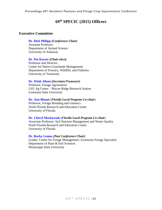## **69th SPFCIC (2015) Officers**

## **Executive Committee**

## **[Dr. Dirk Philipp](mailto:dphilipp@uark.edu)** *(Conference Chair)*

Assistant Professor Department of Animal Science University of Arkansas

#### **[Dr. Pat Keyser](mailto:pkeyser@utk.edu) (***Chair-elect***)**

Professor and Director, Center for Native Grasslands Management Department of Forestry, Wildlife, and Fisheries University of Tennessee

#### **[Dr. Wink Alison](mailto:walison@agcenter.lsu.edu) (***Secretary/Treasurer***)**

Professor, Forage Agronomist LSU Ag Center – Macon Ridge Research Station Louisiana State University

#### **[Dr. Ann Blount](mailto:paspalum@ufl.edu)** (*Florida Local Program Co-chair*)

Professor, Forage Breeding and Genetics North Florida Research and Education Center University of Florida

#### **[Dr. Cheryl Mackowiak](mailto:echo13@ufl.edu)** (*Florida Local Program Co-chair*)

Associate Professor, Soil Nutrient Management and Water Quality North Florida Research and Education Center University of Florida

#### **[Dr. Rocky Lemus](mailto:RLemus@ext.msstate.edu)** *(Past Conference Chair)*

Leader, Center for Forage Management | Extension Forage Specialist Department of Plant & Soil Sciences Mississippi State University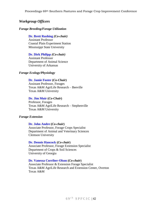## *Workgroup Officers*

#### *Forage Breeding/Forage Utilization*

## **[Dr. Brett Rushing](mailto:jbr93@pss.msstate.edu)** *(Co-chair)*

Assistant Professor Coastal Plain Experiment Station Mississippi State University

#### **[Dr. Dirk Philipp](mailto:dphilipp@uark.edu)** *(Co-chair)*

Assistant Professor Department of Animal Science University of Arkansas

#### *Forage Ecology/Physiology*

#### **[Dr. Jamie](mailto:jlfoster@ag.tamu.edu) Foster (***Co-Chair***)**

Assistant Professor, Forages Texas A&M AgriLife Research – Beeville Texas A&M University

#### **[Dr. Jim Muir](mailto:JMuir@ag.tamu.edu) (***Co-Chair***)**

Professor, Forages Texas A&M AgriLife Research – Stephenville Texas A&M University

#### *Forage Extension*

#### **[Dr. John Andre](mailto:Jandrae@clemson.edu) (***Co-chair***)**

Associate Professor, Forage Crops Specialist Department of Animal and Veterinary Sciences Clemson University

#### **[Dr. Dennis Hancock](mailto:dhancock@uga.edu) (***Co-chair***)**

Associate Professor, Forage Extension Specialist Department of Crops & Soil Sciences University of Georgia

#### **[Dr. Vanessa Corriher-Olson](mailto:vacorriher@ag.tamu.edu) (***Co-chair***)**

Associate Professor & Extension Forage Specialist Texas A&M AgriLife Research and Extension Center, Overton Texas A&M